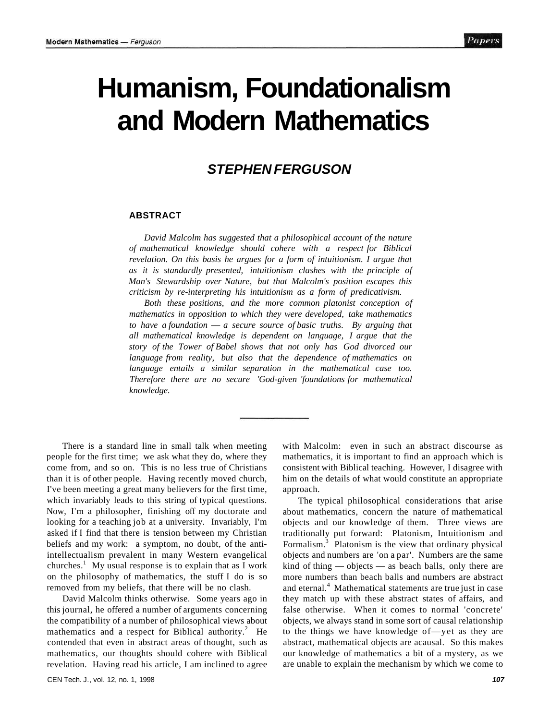# **Humanism, Foundationalism and Modern Mathematics**

## **STEPHEN FERGUSON**

#### **ABSTRACT**

*David Malcolm has suggested that a philosophical account of the nature of mathematical knowledge should cohere with a respect for Biblical revelation. On this basis he argues for a form of intuitionism. I argue that as it is standardly presented, intuitionism clashes with the principle of Man's Stewardship over Nature, but that Malcolm's position escapes this criticism by re-interpreting his intuitionism as a form of predicativism.* 

*Both these positions, and the more common platonist conception of mathematics in opposition to which they were developed, take mathematics to have a foundation* — *a secure source of basic truths. By arguing that all mathematical knowledge is dependent on language, I argue that the story of the Tower of Babel shows that not only has God divorced our language from reality, but also that the dependence of mathematics on language entails a similar separation in the mathematical case too. Therefore there are no secure 'God-given 'foundations for mathematical knowledge.* 

There is a standard line in small talk when meeting people for the first time; we ask what they do, where they come from, and so on. This is no less true of Christians than it is of other people. Having recently moved church, I've been meeting a great many believers for the first time, which invariably leads to this string of typical questions. Now, I'm a philosopher, finishing off my doctorate and looking for a teaching job at a university. Invariably, I'm asked if I find that there is tension between my Christian beliefs and my work: a symptom, no doubt, of the antiintellectualism prevalent in many Western evangelical churches.<sup>1</sup> My usual response is to explain that as I work on the philosophy of mathematics, the stuff I do is so removed from my beliefs, that there will be no clash.

David Malcolm thinks otherwise. Some years ago in this journal, he offered a number of arguments concerning the compatibility of a number of philosophical views about mathematics and a respect for Biblical authority. $^{2}$  He contended that even in abstract areas of thought, such as mathematics, our thoughts should cohere with Biblical revelation. Having read his article, I am inclined to agree

with Malcolm: even in such an abstract discourse as mathematics, it is important to find an approach which is consistent with Biblical teaching. However, I disagree with him on the details of what would constitute an appropriate approach.

The typical philosophical considerations that arise about mathematics, concern the nature of mathematical objects and our knowledge of them. Three views are traditionally put forward: Platonism, Intuitionism and Formalism.<sup>3</sup> Platonism is the view that ordinary physical objects and numbers are 'on a par'. Numbers are the same kind of thing — objects — as beach balls, only there are more numbers than beach balls and numbers are abstract and eternal.<sup>4</sup> Mathematical statements are true just in case they match up with these abstract states of affairs, and false otherwise. When it comes to normal 'concrete' objects, we always stand in some sort of causal relationship to the things we have knowledge of—yet as they are abstract, mathematical objects are acausal. So this makes our knowledge of mathematics a bit of a mystery, as we are unable to explain the mechanism by which we come to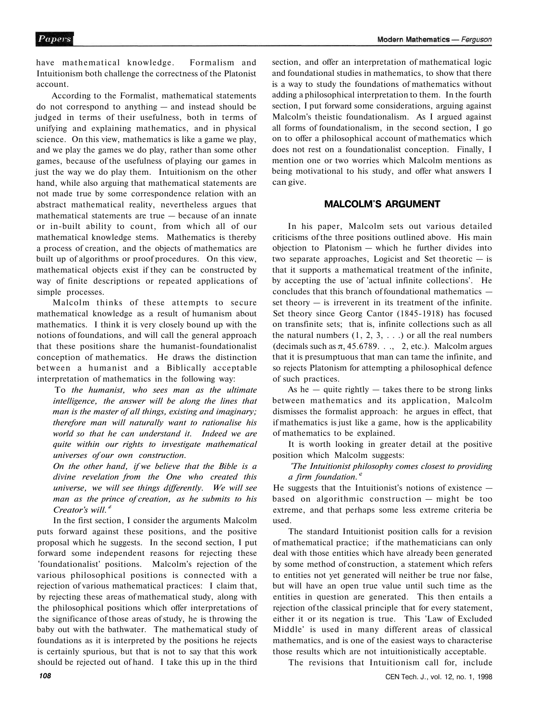have mathematical knowledge. Formalism and Intuitionism both challenge the correctness of the Platonist account.

According to the Formalist, mathematical statements do not correspond to anything — and instead should be judged in terms of their usefulness, both in terms of unifying and explaining mathematics, and in physical science. On this view, mathematics is like a game we play, and we play the games we do play, rather than some other games, because of the usefulness of playing our games in just the way we do play them. Intuitionism on the other hand, while also arguing that mathematical statements are not made true by some correspondence relation with an abstract mathematical reality, nevertheless argues that mathematical statements are true — because of an innate or in-built ability to count, from which all of our mathematical knowledge stems. Mathematics is thereby a process of creation, and the objects of mathematics are built up of algorithms or proof procedures. On this view, mathematical objects exist if they can be constructed by way of finite descriptions or repeated applications of simple processes.

Malcolm thinks of these attempts to secure mathematical knowledge as a result of humanism about mathematics. I think it is very closely bound up with the notions of foundations, and will call the general approach that these positions share the humanist-foundationalist conception of mathematics. He draws the distinction between a humanist and a Biblically acceptable interpretation of mathematics in the following way:

To *the humanist, who sees man as the ultimate intelligence, the answer will be along the lines that man is the master of all things, existing and imaginary; therefore man will naturally want to rationalise his world so that he can understand it. Indeed we are quite within our rights to investigate mathematical universes of our own construction.* 

*On the other hand, if we believe that the Bible is a divine revelation from the One who created this universe, we will see things differently. We will see man as the prince of creation, as he submits to his Creator's will.'<sup>5</sup>*

In the first section, I consider the arguments Malcolm puts forward against these positions, and the positive proposal which he suggests. In the second section, I put forward some independent reasons for rejecting these 'foundationalist' positions. Malcolm's rejection of the various philosophical positions is connected with a rejection of various mathematical practices: I claim that, by rejecting these areas of mathematical study, along with the philosophical positions which offer interpretations of the significance of those areas of study, he is throwing the baby out with the bathwater. The mathematical study of foundations as it is interpreted by the positions he rejects is certainly spurious, but that is not to say that this work should be rejected out of hand. I take this up in the third

section, and offer an interpretation of mathematical logic and foundational studies in mathematics, to show that there is a way to study the foundations of mathematics without adding a philosophical interpretation to them. In the fourth section, I put forward some considerations, arguing against Malcolm's theistic foundationalism. As I argued against all forms of foundationalism, in the second section, I go on to offer a philosophical account of mathematics which does not rest on a foundationalist conception. Finally, I mention one or two worries which Malcolm mentions as being motivational to his study, and offer what answers I can give.

## **MALCOLM'S ARGUMENT**

In his paper, Malcolm sets out various detailed criticisms of the three positions outlined above. His main objection to Platonism — which he further divides into two separate approaches, Logicist and Set theoretic  $-$  is that it supports a mathematical treatment of the infinite, by accepting the use of 'actual infinite collections'. He concludes that this branch of foundational mathematics set theory  $-$  is irreverent in its treatment of the infinite. Set theory since Georg Cantor (1845-1918) has focused on transfinite sets; that is, infinite collections such as all the natural numbers  $(1, 2, 3, ...)$  or all the real numbers (decimals such as  $\pi$ , 45.6789. . ., 2, etc.). Malcolm argues that it is presumptuous that man can tame the infinite, and so rejects Platonism for attempting a philosophical defence of such practices.

As he  $-$  quite rightly  $-$  takes there to be strong links between mathematics and its application, Malcolm dismisses the formalist approach: he argues in effect, that if mathematics is just like a game, how is the applicability of mathematics to be explained.

It is worth looking in greater detail at the positive position which Malcolm suggests:

*'The Intuitionist philosophy comes closest to providing a firm foundation.'<sup>2</sup>*

He suggests that the Intuitionist's notions of existence based on algorithmic construction — might be too extreme, and that perhaps some less extreme criteria be used.

The standard Intuitionist position calls for a revision of mathematical practice; if the mathematicians can only deal with those entities which have already been generated by some method of construction, a statement which refers to entities not yet generated will neither be true nor false, but will have an open true value until such time as the entities in question are generated. This then entails a rejection of the classical principle that for every statement, either it or its negation is true. This 'Law of Excluded Middle' is used in many different areas of classical mathematics, and is one of the easiest ways to characterise those results which are not intuitionistically acceptable.

The revisions that Intuitionism call for, include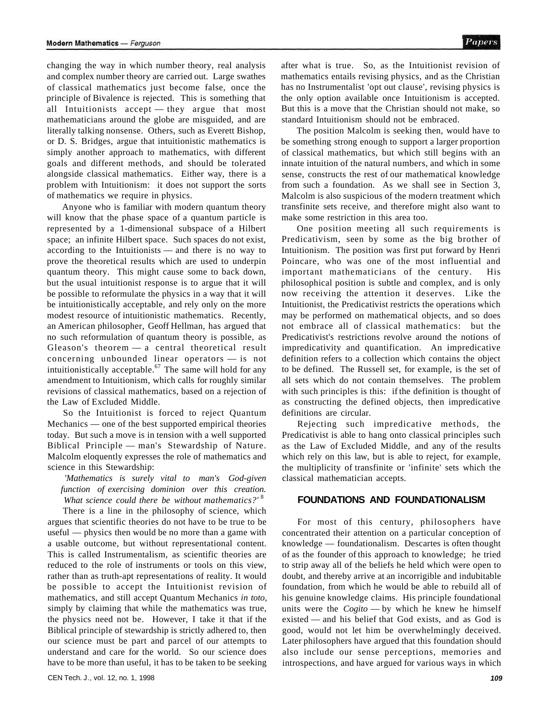of classical mathematics just become false, once the principle of Bivalence is rejected. This is something that all Intuitionists accept — they argue that most mathematicians around the globe are misguided, and are literally talking nonsense. Others, such as Everett Bishop, or D. S. Bridges, argue that intuitionistic mathematics is simply another approach to mathematics, with different goals and different methods, and should be tolerated alongside classical mathematics. Either way, there is a problem with Intuitionism: it does not support the sorts of mathematics we require in physics.

Anyone who is familiar with modern quantum theory will know that the phase space of a quantum particle is represented by a 1-dimensional subspace of a Hilbert space; an infinite Hilbert space. Such spaces do not exist, according to the Intuitionists — and there is no way to prove the theoretical results which are used to underpin quantum theory. This might cause some to back down, but the usual intuitionist response is to argue that it will be possible to reformulate the physics in a way that it will be intuitionistically acceptable, and rely only on the more modest resource of intuitionistic mathematics. Recently, an American philosopher, Geoff Hellman, has argued that no such reformulation of quantum theory is possible, as Gleason's theorem — a central theoretical result concerning unbounded linear operators — is not intuitionistically acceptable.<sup>67</sup> The same will hold for any amendment to Intuitionism, which calls for roughly similar revisions of classical mathematics, based on a rejection of the Law of Excluded Middle.

So the Intuitionist is forced to reject Quantum Mechanics — one of the best supported empirical theories today. But such a move is in tension with a well supported Biblical Principle — man's Stewardship of Nature. Malcolm eloquently expresses the role of mathematics and science in this Stewardship:

## *'Mathematics is surely vital to man's God-given function of exercising dominion over this creation.*  What science could there be without mathematics?'<sup>8</sup>

There is a line in the philosophy of science, which argues that scientific theories do not have to be true to be useful — physics then would be no more than a game with a usable outcome, but without representational content. This is called Instrumentalism, as scientific theories are reduced to the role of instruments or tools on this view, rather than as truth-apt representations of reality. It would be possible to accept the Intuitionist revision of mathematics, and still accept Quantum Mechanics *in toto,*  simply by claiming that while the mathematics was true, the physics need not be. However, I take it that if the Biblical principle of stewardship is strictly adhered to, then our science must be part and parcel of our attempts to understand and care for the world. So our science does have to be more than useful, it has to be taken to be seeking after what is true. So, as the Intuitionist revision of mathematics entails revising physics, and as the Christian has no Instrumentalist 'opt out clause', revising physics is the only option available once Intuitionism is accepted. But this is a move that the Christian should not make, so standard Intuitionism should not be embraced.

The position Malcolm is seeking then, would have to be something strong enough to support a larger proportion of classical mathematics, but which still begins with an innate intuition of the natural numbers, and which in some sense, constructs the rest of our mathematical knowledge from such a foundation. As we shall see in Section 3, Malcolm is also suspicious of the modern treatment which transfinite sets receive, and therefore might also want to make some restriction in this area too.

One position meeting all such requirements is Predicativism, seen by some as the big brother of Intuitionism. The position was first put forward by Henri Poincare, who was one of the most influential and important mathematicians of the century. His philosophical position is subtle and complex, and is only now receiving the attention it deserves. Like the Intuitionist, the Predicativist restricts the operations which may be performed on mathematical objects, and so does not embrace all of classical mathematics: but the Predicativist's restrictions revolve around the notions of impredicativity and quantification. An impredicative definition refers to a collection which contains the object to be defined. The Russell set, for example, is the set of all sets which do not contain themselves. The problem with such principles is this: if the definition is thought of as constructing the defined objects, then impredicative definitions are circular.

Rejecting such impredicative methods, the Predicativist is able to hang onto classical principles such as the Law of Excluded Middle, and any of the results which rely on this law, but is able to reject, for example, the multiplicity of transfinite or 'infinite' sets which the classical mathematician accepts.

## **FOUNDATIONS AND FOUNDATIONALISM**

For most of this century, philosophers have concentrated their attention on a particular conception of knowledge — foundationalism. Descartes is often thought of as the founder of this approach to knowledge; he tried to strip away all of the beliefs he held which were open to doubt, and thereby arrive at an incorrigible and indubitable foundation, from which he would be able to rebuild all of his genuine knowledge claims. His principle foundational units were the *Cogito* — by which he knew he himself existed — and his belief that God exists, and as God is good, would not let him be overwhelmingly deceived. Later philosophers have argued that this foundation should also include our sense perceptions, memories and introspections, and have argued for various ways in which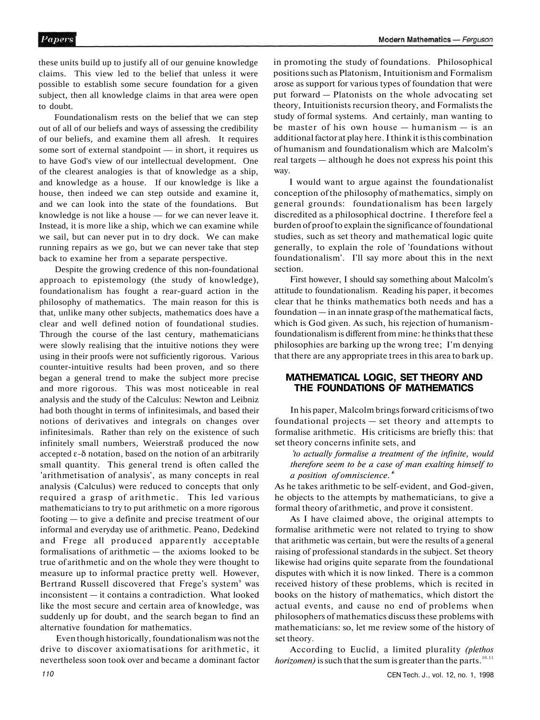these units build up to justify all of our genuine knowledge claims. This view led to the belief that unless it were possible to establish some secure foundation for a given subject, then all knowledge claims in that area were open to doubt.

Foundationalism rests on the belief that we can step out of all of our beliefs and ways of assessing the credibility of our beliefs, and examine them all afresh. It requires some sort of external standpoint — in short, it requires us to have God's view of our intellectual development. One of the clearest analogies is that of knowledge as a ship, and knowledge as a house. If our knowledge is like a house, then indeed we can step outside and examine it, and we can look into the state of the foundations. But knowledge is not like a house — for we can never leave it. Instead, it is more like a ship, which we can examine while we sail, but can never put in to dry dock. We can make running repairs as we go, but we can never take that step back to examine her from a separate perspective.

Despite the growing credence of this non-foundational approach to epistemology (the study of knowledge), foundationalism has fought a rear-guard action in the philosophy of mathematics. The main reason for this is that, unlike many other subjects, mathematics does have a clear and well defined notion of foundational studies. Through the course of the last century, mathematicians were slowly realising that the intuitive notions they were using in their proofs were not sufficiently rigorous. Various counter-intuitive results had been proven, and so there began a general trend to make the subject more precise and more rigorous. This was most noticeable in real analysis and the study of the Calculus: Newton and Leibniz had both thought in terms of infinitesimals, and based their notions of derivatives and integrals on changes over infinitesimals. Rather than rely on the existence of such infinitely small numbers, Weierstraß produced the now accepted ε-δ notation, based on the notion of an arbitrarily small quantity. This general trend is often called the 'arithmetisation of analysis', as many concepts in real analysis (Calculus) were reduced to concepts that only required a grasp of arithmetic. This led various mathematicians to try to put arithmetic on a more rigorous footing — to give a definite and precise treatment of our informal and everyday use of arithmetic. Peano, Dedekind and Frege all produced apparently acceptable formalisations of arithmetic — the axioms looked to be true of arithmetic and on the whole they were thought to measure up to informal practice pretty well. However, Bertrand Russell discovered that Frege's system<sup>9</sup> was inconsistent — it contains a contradiction. What looked like the most secure and certain area of knowledge, was suddenly up for doubt, and the search began to find an alternative foundation for mathematics.

Even though historically, foundationalism was not the drive to discover axiomatisations for arithmetic, it nevertheless soon took over and became a dominant factor in promoting the study of foundations. Philosophical positions such as Platonism, Intuitionism and Formalism arose as support for various types of foundation that were put forward — Platonists on the whole advocating set theory, Intuitionists recursion theory, and Formalists the study of formal systems. And certainly, man wanting to be master of his own house — humanism — is an additional factor at play here. I think it is this combination of humanism and foundationalism which are Malcolm's real targets — although he does not express his point this way.

I would want to argue against the foundationalist conception of the philosophy of mathematics, simply on general grounds: foundationalism has been largely discredited as a philosophical doctrine. I therefore feel a burden of proof to explain the significance of foundational studies, such as set theory and mathematical logic quite generally, to explain the role of 'foundations without foundationalism'. I'll say more about this in the next section.

First however, I should say something about Malcolm's attitude to foundationalism. Reading his paper, it becomes clear that he thinks mathematics both needs and has a foundation — in an innate grasp of the mathematical facts, which is God given. As such, his rejection of humanismfoundationalism is different from mine: he thinks that these philosophies are barking up the wrong tree; I'm denying that there are any appropriate trees in this area to bark up.

## **MATHEMATICAL LOGIC, SET THEORY AND THE FOUNDATIONS OF MATHEMATICS**

In his paper, Malcolm brings forward criticisms of two foundational projects — set theory and attempts to formalise arithmetic. His criticisms are briefly this: that set theory concerns infinite sets, and

*'to actually formalise a treatment of the infinite, would therefore seem to be a case of man exalting himself to a position of omniscience.'*<sup>8</sup>

As he takes arithmetic to be self-evident, and God-given, he objects to the attempts by mathematicians, to give a formal theory of arithmetic, and prove it consistent.

As I have claimed above, the original attempts to formalise arithmetic were not related to trying to show that arithmetic was certain, but were the results of a general raising of professional standards in the subject. Set theory likewise had origins quite separate from the foundational disputes with which it is now linked. There is a common received history of these problems, which is recited in books on the history of mathematics, which distort the actual events, and cause no end of problems when philosophers of mathematics discuss these problems with mathematicians: so, let me review some of the history of set theory.

According to Euclid, a limited plurality *(plethos horizomen*) is such that the sum is greater than the parts.<sup>10,11</sup>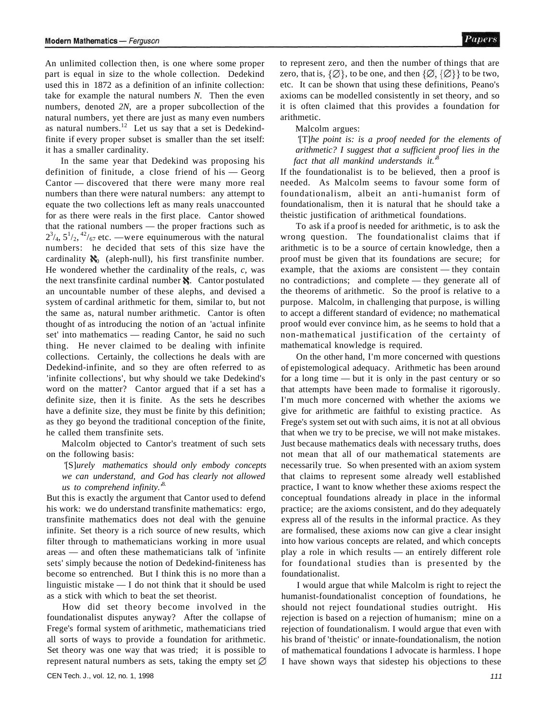An unlimited collection then, is one where some proper part is equal in size to the whole collection. Dedekind used this in 1872 as a definition of an infinite collection: take for example the natural numbers *N.* Then the even numbers, denoted *2N,* are a proper subcollection of the natural numbers, yet there are just as many even numbers as natural numbers.<sup>12</sup> Let us say that a set is Dedekindfinite if every proper subset is smaller than the set itself: it has a smaller cardinality.

In the same year that Dedekind was proposing his definition of finitude, a close friend of his — Georg Cantor — discovered that there were many more real numbers than there were natural numbers: any attempt to equate the two collections left as many reals unaccounted for as there were reals in the first place. Cantor showed that the rational numbers — the proper fractions such as  $2^{3}/_{4}$ ,  $5^{1}/_{2}$ ,  $4^{2}/_{67}$  etc. —were equinumerous with the natural numbers: he decided that sets of this size have the cardinality  $\aleph_0$  (aleph-null), his first transfinite number. He wondered whether the cardinality of the reals, *c,* was the next transfinite cardinal number  $\aleph$ . Cantor postulated an uncountable number of these alephs, and devised a system of cardinal arithmetic for them, similar to, but not the same as, natural number arithmetic. Cantor is often thought of as introducing the notion of an 'actual infinite set' into mathematics — reading Cantor, he said no such thing. He never claimed to be dealing with infinite collections. Certainly, the collections he deals with are Dedekind-infinite, and so they are often referred to as 'infinite collections', but why should we take Dedekind's word on the matter? Cantor argued that if a set has a definite size, then it is finite. As the sets he describes have a definite size, they must be finite by this definition; as they go beyond the traditional conception of the finite, he called them transfinite sets.

Malcolm objected to Cantor's treatment of such sets on the following basis:

*'*[S]*urely mathematics should only embody concepts we can understand, and God has clearly not allowed us to comprehend infinity.'*<sup>8</sup>*.* 

But this is exactly the argument that Cantor used to defend his work: we do understand transfinite mathematics: ergo, transfinite mathematics does not deal with the genuine infinite. Set theory is a rich source of new results, which filter through to mathematicians working in more usual areas — and often these mathematicians talk of 'infinite sets' simply because the notion of Dedekind-finiteness has become so entrenched. But I think this is no more than a linguistic mistake — I do not think that it should be used as a stick with which to beat the set theorist.

How did set theory become involved in the foundationalist disputes anyway? After the collapse of Frege's formal system of arithmetic, mathematicians tried all sorts of ways to provide a foundation for arithmetic. Set theory was one way that was tried; it is possible to represent natural numbers as sets, taking the empty set  $\varnothing$  to represent zero, and then the number of things that are zero, that is,  $\{\emptyset\}$ , to be one, and then  $\{\emptyset, \{\emptyset\}\}\$ to be two, etc. It can be shown that using these definitions, Peano's axioms can be modelled consistently in set theory, and so it is often claimed that this provides a foundation for arithmetic.

#### Malcolm argues:

*'*[T]*he point is: is a proof needed for the elements of arithmetic? I suggest that a sufficient proof lies in the fact that all mankind understands it.'*<sup>8</sup>

If the foundationalist is to be believed, then a proof is needed. As Malcolm seems to favour some form of foundationalism, albeit an anti-humanist form of foundationalism, then it is natural that he should take a theistic justification of arithmetical foundations.

To ask if a proof is needed for arithmetic, is to ask the wrong question. The foundationalist claims that if arithmetic is to be a source of certain knowledge, then a proof must be given that its foundations are secure; for example, that the axioms are consistent — they contain no contradictions; and complete — they generate all of the theorems of arithmetic. So the proof is relative to a purpose. Malcolm, in challenging that purpose, is willing to accept a different standard of evidence; no mathematical proof would ever convince him, as he seems to hold that a non-mathematical justification of the certainty of mathematical knowledge is required.

On the other hand, I'm more concerned with questions of epistemological adequacy. Arithmetic has been around for a long time — but it is only in the past century or so that attempts have been made to formalise it rigorously. I'm much more concerned with whether the axioms we give for arithmetic are faithful to existing practice. As Frege's system set out with such aims, it is not at all obvious that when we try to be precise, we will not make mistakes. Just because mathematics deals with necessary truths, does not mean that all of our mathematical statements are necessarily true. So when presented with an axiom system that claims to represent some already well established practice, I want to know whether these axioms respect the conceptual foundations already in place in the informal practice; are the axioms consistent, and do they adequately express all of the results in the informal practice. As they are formalised, these axioms now can give a clear insight into how various concepts are related, and which concepts play a role in which results — an entirely different role for foundational studies than is presented by the foundationalist.

I would argue that while Malcolm is right to reject the humanist-foundationalist conception of foundations, he should not reject foundational studies outright. His rejection is based on a rejection of humanism; mine on a rejection of foundationalism. I would argue that even with his brand of 'theistic' or innate-foundationalism, the notion of mathematical foundations I advocate is harmless. I hope I have shown ways that sidestep his objections to these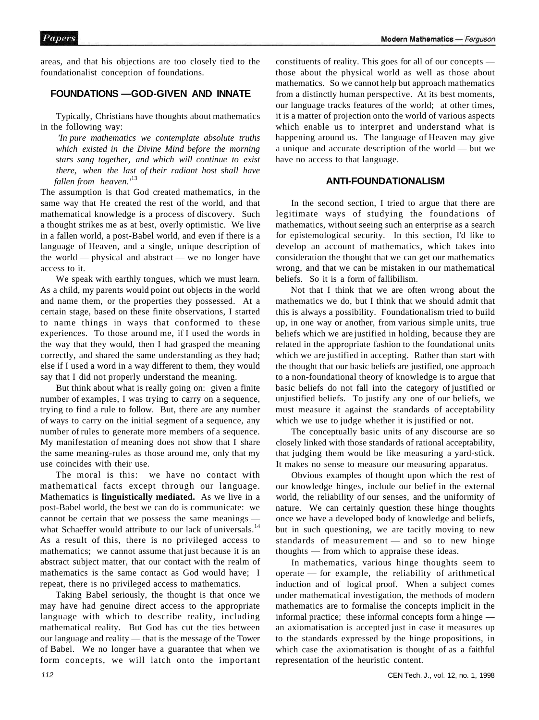areas, and that his objections are too closely tied to the foundationalist conception of foundations.

## **FOUNDATIONS —GOD-GIVEN AND INNATE**

Typically, Christians have thoughts about mathematics in the following way:

*'In pure mathematics we contemplate absolute truths which existed in the Divine Mind before the morning stars sang together, and which will continue to exist there, when the last of their radiant host shall have fallen from heaven.'*<sup>13</sup>

The assumption is that God created mathematics, in the same way that He created the rest of the world, and that mathematical knowledge is a process of discovery. Such a thought strikes me as at best, overly optimistic. We live in a fallen world, a post-Babel world, and even if there is a language of Heaven, and a single, unique description of the world — physical and abstract — we no longer have access to it.

We speak with earthly tongues, which we must learn. As a child, my parents would point out objects in the world and name them, or the properties they possessed. At a certain stage, based on these finite observations, I started to name things in ways that conformed to these experiences. To those around me, if I used the words in the way that they would, then I had grasped the meaning correctly, and shared the same understanding as they had; else if I used a word in a way different to them, they would say that I did not properly understand the meaning.

But think about what is really going on: given a finite number of examples, I was trying to carry on a sequence, trying to find a rule to follow. But, there are any number of ways to carry on the initial segment of a sequence, any number of rules to generate more members of a sequence. My manifestation of meaning does not show that I share the same meaning-rules as those around me, only that my use coincides with their use.

The moral is this: we have no contact with mathematical facts except through our language. Mathematics is **linguistically mediated.** As we live in a post-Babel world, the best we can do is communicate: we cannot be certain that we possess the same meanings what Schaeffer would attribute to our lack of universals.<sup>14</sup> As a result of this, there is no privileged access to mathematics; we cannot assume that just because it is an abstract subject matter, that our contact with the realm of mathematics is the same contact as God would have; I repeat, there is no privileged access to mathematics.

Taking Babel seriously, the thought is that once we may have had genuine direct access to the appropriate language with which to describe reality, including mathematical reality. But God has cut the ties between our language and reality — that is the message of the Tower of Babel. We no longer have a guarantee that when we form concepts, we will latch onto the important constituents of reality. This goes for all of our concepts those about the physical world as well as those about mathematics. So we cannot help but approach mathematics from a distinctly human perspective. At its best moments, our language tracks features of the world; at other times, it is a matter of projection onto the world of various aspects which enable us to interpret and understand what is happening around us. The language of Heaven may give a unique and accurate description of the world — but we have no access to that language.

## **ANTI-FOUNDATIONALISM**

In the second section, I tried to argue that there are legitimate ways of studying the foundations of mathematics, without seeing such an enterprise as a search for epistemological security. In this section, I'd like to develop an account of mathematics, which takes into consideration the thought that we can get our mathematics wrong, and that we can be mistaken in our mathematical beliefs. So it is a form of fallibilism.

Not that I think that we are often wrong about the mathematics we do, but I think that we should admit that this is always a possibility. Foundationalism tried to build up, in one way or another, from various simple units, true beliefs which we are justified in holding, because they are related in the appropriate fashion to the foundational units which we are justified in accepting. Rather than start with the thought that our basic beliefs are justified, one approach to a non-foundational theory of knowledge is to argue that basic beliefs do not fall into the category of justified or unjustified beliefs. To justify any one of our beliefs, we must measure it against the standards of acceptability which we use to judge whether it is justified or not.

The conceptually basic units of any discourse are so closely linked with those standards of rational acceptability, that judging them would be like measuring a yard-stick. It makes no sense to measure our measuring apparatus.

Obvious examples of thought upon which the rest of our knowledge hinges, include our belief in the external world, the reliability of our senses, and the uniformity of nature. We can certainly question these hinge thoughts once we have a developed body of knowledge and beliefs, but in such questioning, we are tacitly moving to new standards of measurement — and so to new hinge thoughts — from which to appraise these ideas.

In mathematics, various hinge thoughts seem to operate — for example, the reliability of arithmetical induction and of logical proof. When a subject comes under mathematical investigation, the methods of modern mathematics are to formalise the concepts implicit in the informal practice; these informal concepts form a hinge an axiomatisation is accepted just in case it measures up to the standards expressed by the hinge propositions, in which case the axiomatisation is thought of as a faithful representation of the heuristic content.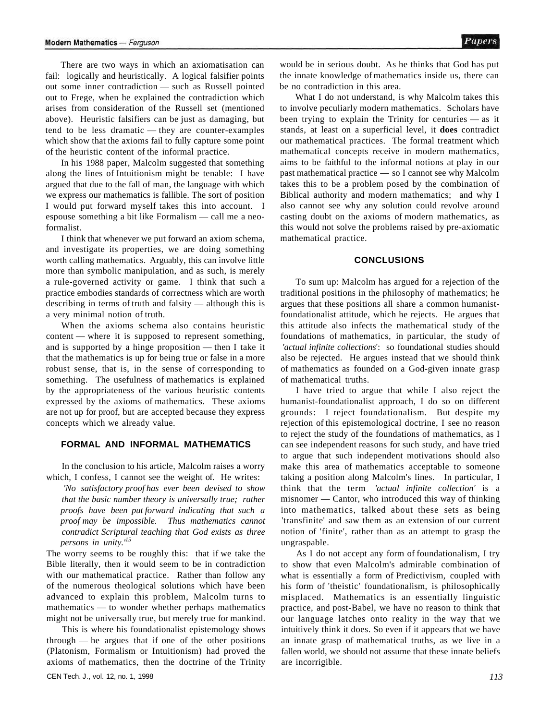There are two ways in which an axiomatisation can fail: logically and heuristically. A logical falsifier points out some inner contradiction — such as Russell pointed out to Frege, when he explained the contradiction which arises from consideration of the Russell set (mentioned above). Heuristic falsifiers can be just as damaging, but tend to be less dramatic — they are counter-examples which show that the axioms fail to fully capture some point of the heuristic content of the informal practice.

In his 1988 paper, Malcolm suggested that something along the lines of Intuitionism might be tenable: I have argued that due to the fall of man, the language with which we express our mathematics is fallible. The sort of position I would put forward myself takes this into account. I espouse something a bit like Formalism — call me a neoformalist.

I think that whenever we put forward an axiom schema, and investigate its properties, we are doing something worth calling mathematics. Arguably, this can involve little more than symbolic manipulation, and as such, is merely a rule-governed activity or game. I think that such a practice embodies standards of correctness which are worth describing in terms of truth and falsity — although this is a very minimal notion of truth.

When the axioms schema also contains heuristic content — where it is supposed to represent something, and is supported by a hinge proposition — then I take it that the mathematics is up for being true or false in a more robust sense, that is, in the sense of corresponding to something. The usefulness of mathematics is explained by the appropriateness of the various heuristic contents expressed by the axioms of mathematics. These axioms are not up for proof, but are accepted because they express concepts which we already value.

#### **FORMAL AND INFORMAL MATHEMATICS**

In the conclusion to his article, Malcolm raises a worry which, I confess, I cannot see the weight of. He writes:

*'No satisfactory proof has ever been devised to show that the basic number theory is universally true; rather proofs have been put forward indicating that such a proof may be impossible. Thus mathematics cannot contradict Scriptural teaching that God exists as three persons in unity.'<sup>15</sup>*

The worry seems to be roughly this: that if we take the Bible literally, then it would seem to be in contradiction with our mathematical practice. Rather than follow any of the numerous theological solutions which have been advanced to explain this problem, Malcolm turns to mathematics — to wonder whether perhaps mathematics might not be universally true, but merely true for mankind.

This is where his foundationalist epistemology shows through — he argues that if one of the other positions (Platonism, Formalism or Intuitionism) had proved the axioms of mathematics, then the doctrine of the Trinity

would be in serious doubt. As he thinks that God has put the innate knowledge of mathematics inside us, there can be no contradiction in this area.

What I do not understand, is why Malcolm takes this to involve peculiarly modern mathematics. Scholars have been trying to explain the Trinity for centuries — as it stands, at least on a superficial level, it **does** contradict our mathematical practices. The formal treatment which mathematical concepts receive in modern mathematics, aims to be faithful to the informal notions at play in our past mathematical practice — so I cannot see why Malcolm takes this to be a problem posed by the combination of Biblical authority and modern mathematics; and why I also cannot see why any solution could revolve around casting doubt on the axioms of modern mathematics, as this would not solve the problems raised by pre-axiomatic mathematical practice.

#### **CONCLUSIONS**

To sum up: Malcolm has argued for a rejection of the traditional positions in the philosophy of mathematics; he argues that these positions all share a common humanistfoundationalist attitude, which he rejects. He argues that this attitude also infects the mathematical study of the foundations of mathematics, in particular, the study of *'actual infinite collections*': so foundational studies should also be rejected. He argues instead that we should think of mathematics as founded on a God-given innate grasp of mathematical truths.

I have tried to argue that while I also reject the humanist-foundationalist approach, I do so on different grounds: I reject foundationalism. But despite my rejection of this epistemological doctrine, I see no reason to reject the study of the foundations of mathematics, as I can see independent reasons for such study, and have tried to argue that such independent motivations should also make this area of mathematics acceptable to someone taking a position along Malcolm's lines. In particular, I think that the term *'actual infinite collection'* is a misnomer — Cantor, who introduced this way of thinking into mathematics, talked about these sets as being 'transfinite' and saw them as an extension of our current notion of 'finite', rather than as an attempt to grasp the ungraspable.

As I do not accept any form of foundationalism, I try to show that even Malcolm's admirable combination of what is essentially a form of Predictivism, coupled with his form of 'theistic' foundationalism, is philosophically misplaced. Mathematics is an essentially linguistic practice, and post-Babel, we have no reason to think that our language latches onto reality in the way that we intuitively think it does. So even if it appears that we have an innate grasp of mathematical truths, as we live in a fallen world, we should not assume that these innate beliefs are incorrigible.